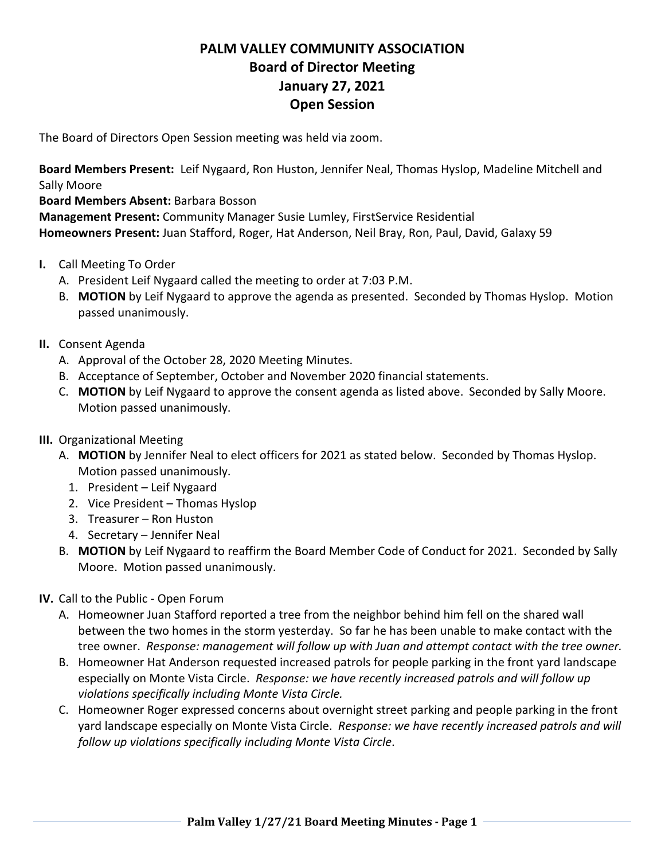## **PALM VALLEY COMMUNITY ASSOCIATION Board of Director Meeting January 27, 2021 Open Session**

The Board of Directors Open Session meeting was held via zoom.

**Board Members Present:** Leif Nygaard, Ron Huston, Jennifer Neal, Thomas Hyslop, Madeline Mitchell and Sally Moore

**Board Members Absent:** Barbara Bosson

**Management Present:** Community Manager Susie Lumley, FirstService Residential **Homeowners Present:** Juan Stafford, Roger, Hat Anderson, Neil Bray, Ron, Paul, David, Galaxy 59

- **I.** Call Meeting To Order
	- A. President Leif Nygaard called the meeting to order at 7:03 P.M.
	- B. **MOTION** by Leif Nygaard to approve the agenda as presented. Seconded by Thomas Hyslop. Motion passed unanimously.
- **II.** Consent Agenda
	- A. Approval of the October 28, 2020 Meeting Minutes.
	- B. Acceptance of September, October and November 2020 financial statements.
	- C. **MOTION** by Leif Nygaard to approve the consent agenda as listed above. Seconded by Sally Moore. Motion passed unanimously.
- **III.** Organizational Meeting
	- A. **MOTION** by Jennifer Neal to elect officers for 2021 as stated below. Seconded by Thomas Hyslop. Motion passed unanimously.
		- 1. President Leif Nygaard
		- 2. Vice President Thomas Hyslop
		- 3. Treasurer Ron Huston
		- 4. Secretary Jennifer Neal
	- B. **MOTION** by Leif Nygaard to reaffirm the Board Member Code of Conduct for 2021. Seconded by Sally Moore. Motion passed unanimously.
- **IV.** Call to the Public Open Forum
	- A. Homeowner Juan Stafford reported a tree from the neighbor behind him fell on the shared wall between the two homes in the storm yesterday. So far he has been unable to make contact with the tree owner. *Response: management will follow up with Juan and attempt contact with the tree owner.*
	- B. Homeowner Hat Anderson requested increased patrols for people parking in the front yard landscape especially on Monte Vista Circle. *Response: we have recently increased patrols and will follow up violations specifically including Monte Vista Circle.*
	- C. Homeowner Roger expressed concerns about overnight street parking and people parking in the front yard landscape especially on Monte Vista Circle. *Response: we have recently increased patrols and will follow up violations specifically including Monte Vista Circle*.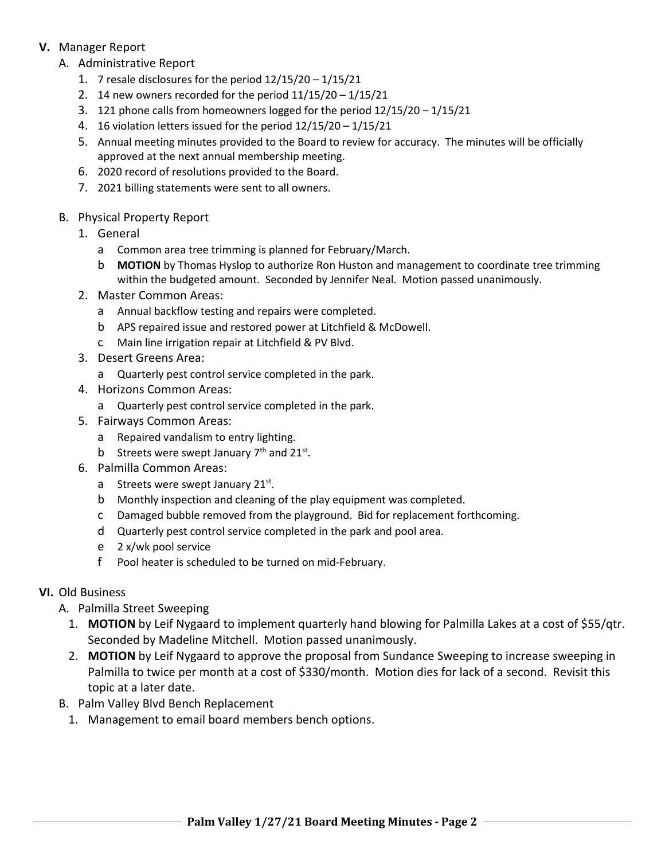## **V.** Manager Report

- A. Administrative Report
	- 1. 7 resale disclosures for the period 12/15/20 1/15/21
	- 2. 14 new owners recorded for the period 11/15/20 1/15/21
	- 3. 121 phone calls from homeowners logged for the period 12/15/20 1/15/21
	- 4. 16 violation letters issued for the period 12/15/20 1/15/21
	- 5. Annual meeting minutes provided to the Board to review for accuracy. The minutes will be officially approved at the next annual membership meeting.
	- 6. 2020 record of resolutions provided to the Board.
	- 7. 2021 billing statements were sent to all owners.
- B. Physical Property Report
	- 1. General
		- a Common area tree trimming is planned for February/March.
		- b **MOTION** by Thomas Hyslop to authorize Ron Huston and management to coordinate tree trimming within the budgeted amount. Seconded by Jennifer Neal. Motion passed unanimously.
	- 2. Master Common Areas:
		- a Annual backflow testing and repairs were completed.
		- b APS repaired issue and restored power at Litchfield & McDowell.
		- c Main line irrigation repair at Litchfield & PV Blvd.
	- 3. Desert Greens Area:
		- a Quarterly pest control service completed in the park.
	- 4. Horizons Common Areas:
		- a Quarterly pest control service completed in the park.
	- 5. Fairways Common Areas:
		- a Repaired vandalism to entry lighting.
		- b Streets were swept January  $7<sup>th</sup>$  and  $21<sup>st</sup>$ .
	- 6. Palmilla Common Areas:
		- a Streets were swept January 21st.
		- b Monthly inspection and cleaning of the play equipment was completed.
		- c Damaged bubble removed from the playground. Bid for replacement forthcoming.
		- d Quarterly pest control service completed in the park and pool area.
		- e 2 x/wk pool service
		- f Pool heater is scheduled to be turned on mid-February.

## **VI.** Old Business

- A. Palmilla Street Sweeping
	- 1. **MOTION** by Leif Nygaard to implement quarterly hand blowing for Palmilla Lakes at a cost of \$55/qtr. Seconded by Madeline Mitchell. Motion passed unanimously.
	- 2. **MOTION** by Leif Nygaard to approve the proposal from Sundance Sweeping to increase sweeping in Palmilla to twice per month at a cost of \$330/month. Motion dies for lack of a second. Revisit this topic at a later date.
- B. Palm Valley Blvd Bench Replacement
	- 1. Management to email board members bench options.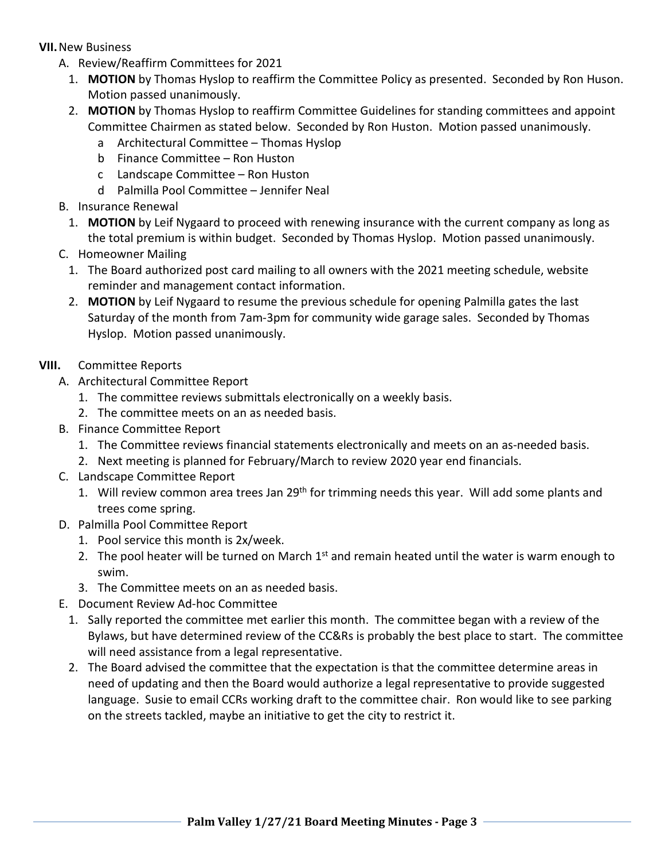**VII.**New Business

- A. Review/Reaffirm Committees for 2021
	- 1. **MOTION** by Thomas Hyslop to reaffirm the Committee Policy as presented. Seconded by Ron Huson. Motion passed unanimously.
	- 2. **MOTION** by Thomas Hyslop to reaffirm Committee Guidelines for standing committees and appoint Committee Chairmen as stated below. Seconded by Ron Huston. Motion passed unanimously.
		- a Architectural Committee Thomas Hyslop
		- b Finance Committee Ron Huston
		- c Landscape Committee Ron Huston
		- d Palmilla Pool Committee Jennifer Neal
- B. Insurance Renewal
	- 1. **MOTION** by Leif Nygaard to proceed with renewing insurance with the current company as long as the total premium is within budget. Seconded by Thomas Hyslop. Motion passed unanimously.
- C. Homeowner Mailing
	- 1. The Board authorized post card mailing to all owners with the 2021 meeting schedule, website reminder and management contact information.
	- 2. **MOTION** by Leif Nygaard to resume the previous schedule for opening Palmilla gates the last Saturday of the month from 7am-3pm for community wide garage sales. Seconded by Thomas Hyslop. Motion passed unanimously.
- **VIII.** Committee Reports
	- A. Architectural Committee Report
		- 1. The committee reviews submittals electronically on a weekly basis.
		- 2. The committee meets on an as needed basis.
	- B. Finance Committee Report
		- 1. The Committee reviews financial statements electronically and meets on an as-needed basis.
		- 2. Next meeting is planned for February/March to review 2020 year end financials.
	- C. Landscape Committee Report
		- 1. Will review common area trees Jan 29<sup>th</sup> for trimming needs this year. Will add some plants and trees come spring.
	- D. Palmilla Pool Committee Report
		- 1. Pool service this month is 2x/week.
		- 2. The pool heater will be turned on March  $1<sup>st</sup>$  and remain heated until the water is warm enough to swim.
		- 3. The Committee meets on an as needed basis.
	- E. Document Review Ad-hoc Committee
		- 1. Sally reported the committee met earlier this month. The committee began with a review of the Bylaws, but have determined review of the CC&Rs is probably the best place to start. The committee will need assistance from a legal representative.
		- 2. The Board advised the committee that the expectation is that the committee determine areas in need of updating and then the Board would authorize a legal representative to provide suggested language. Susie to email CCRs working draft to the committee chair. Ron would like to see parking on the streets tackled, maybe an initiative to get the city to restrict it.